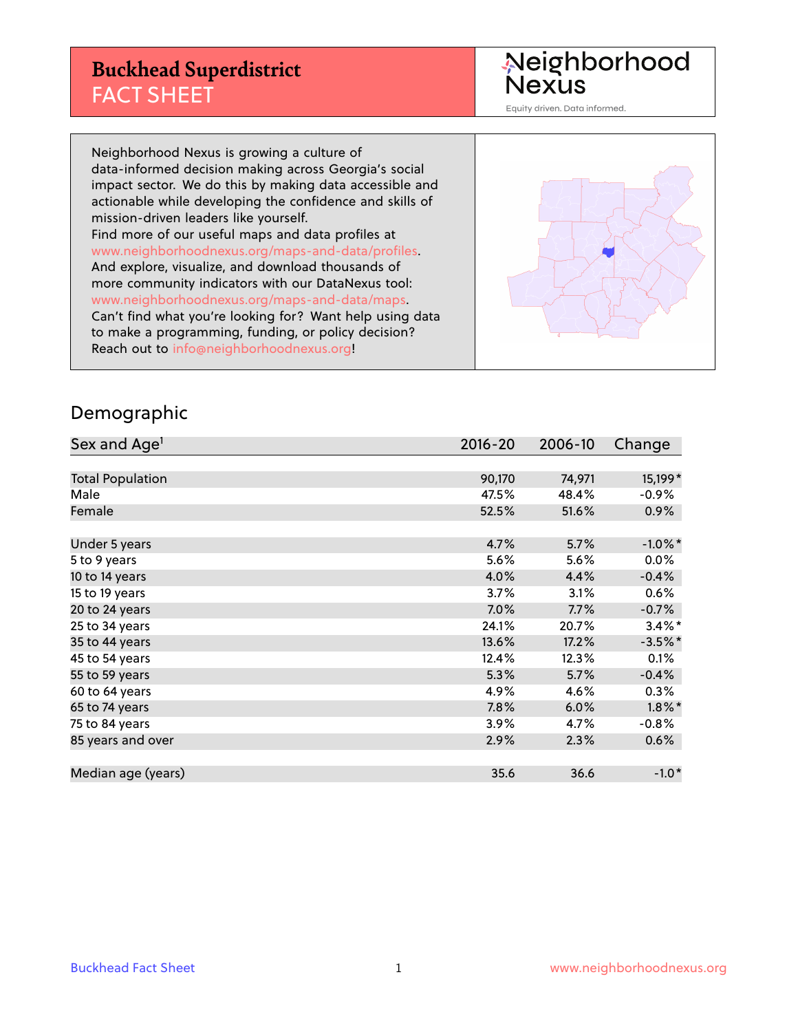### **Buckhead Superdistrict** FACT SHEET

Neighborhood<br>Nexus

Equity driven. Data informed.

Neighborhood Nexus is growing a culture of data-informed decision making across Georgia's social impact sector. We do this by making data accessible and actionable while developing the confidence and skills of mission-driven leaders like yourself. Find more of our useful maps and data profiles at www.neighborhoodnexus.org/maps-and-data/profiles. And explore, visualize, and download thousands of more community indicators with our DataNexus tool: www.neighborhoodnexus.org/maps-and-data/maps. Can't find what you're looking for? Want help using data to make a programming, funding, or policy decision? Reach out to [info@neighborhoodnexus.org!](mailto:info@neighborhoodnexus.org)



#### Demographic

| Sex and Age <sup>1</sup> | $2016 - 20$ | 2006-10 | Change     |
|--------------------------|-------------|---------|------------|
|                          |             |         |            |
| <b>Total Population</b>  | 90,170      | 74,971  | 15,199*    |
| Male                     | 47.5%       | 48.4%   | $-0.9%$    |
| Female                   | 52.5%       | 51.6%   | 0.9%       |
|                          |             |         |            |
| Under 5 years            | 4.7%        | 5.7%    | $-1.0\%$ * |
| 5 to 9 years             | 5.6%        | 5.6%    | 0.0%       |
| 10 to 14 years           | 4.0%        | 4.4%    | $-0.4%$    |
| 15 to 19 years           | 3.7%        | 3.1%    | 0.6%       |
| 20 to 24 years           | 7.0%        | 7.7%    | $-0.7%$    |
| 25 to 34 years           | 24.1%       | 20.7%   | $3.4\%$ *  |
| 35 to 44 years           | 13.6%       | 17.2%   | $-3.5%$ *  |
| 45 to 54 years           | 12.4%       | 12.3%   | 0.1%       |
| 55 to 59 years           | 5.3%        | 5.7%    | $-0.4%$    |
| 60 to 64 years           | 4.9%        | 4.6%    | 0.3%       |
| 65 to 74 years           | 7.8%        | 6.0%    | $1.8\%$ *  |
| 75 to 84 years           | 3.9%        | 4.7%    | $-0.8%$    |
| 85 years and over        | 2.9%        | 2.3%    | 0.6%       |
|                          |             |         |            |
| Median age (years)       | 35.6        | 36.6    | $-1.0*$    |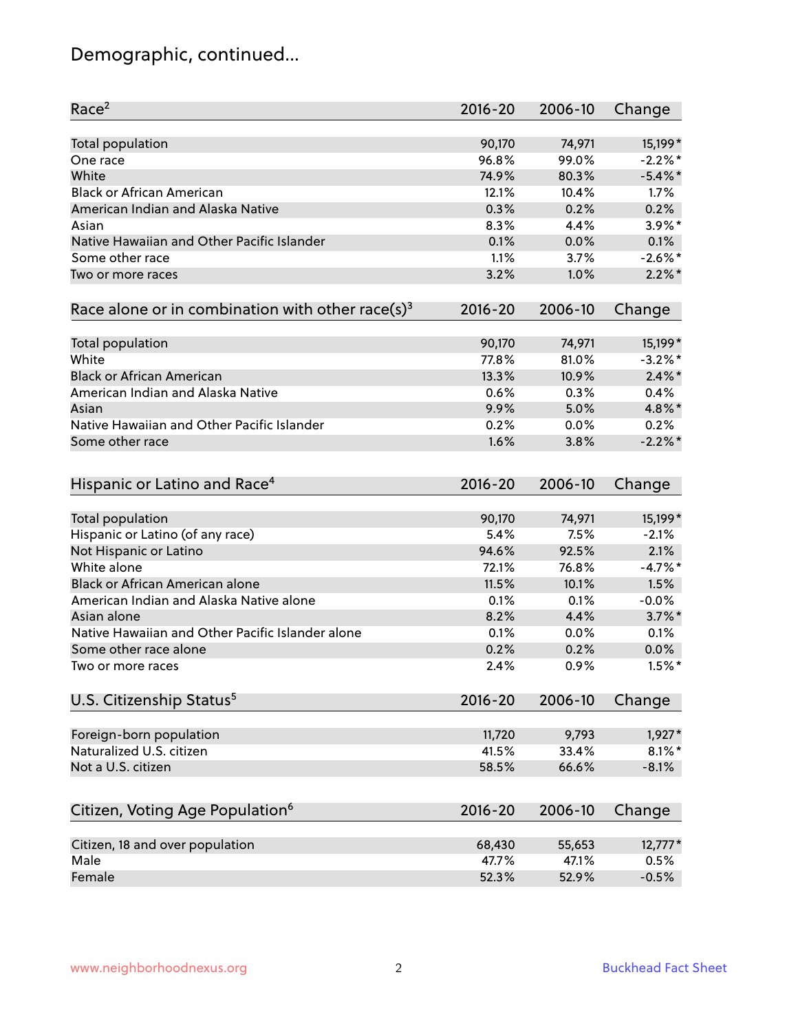# Demographic, continued...

| Race <sup>2</sup>                                            | $2016 - 20$ | 2006-10 | Change     |
|--------------------------------------------------------------|-------------|---------|------------|
| <b>Total population</b>                                      | 90,170      | 74,971  | 15,199*    |
| One race                                                     | 96.8%       | 99.0%   | $-2.2%$ *  |
| White                                                        | 74.9%       | 80.3%   | $-5.4\%$ * |
| <b>Black or African American</b>                             | 12.1%       | 10.4%   | 1.7%       |
| American Indian and Alaska Native                            | 0.3%        | 0.2%    | 0.2%       |
| Asian                                                        | 8.3%        | 4.4%    | $3.9\%$ *  |
| Native Hawaiian and Other Pacific Islander                   | 0.1%        | 0.0%    | 0.1%       |
| Some other race                                              | 1.1%        | 3.7%    | $-2.6\%$ * |
| Two or more races                                            | 3.2%        | 1.0%    | $2.2\%$ *  |
|                                                              |             |         |            |
| Race alone or in combination with other race(s) <sup>3</sup> | $2016 - 20$ | 2006-10 | Change     |
| Total population                                             | 90,170      | 74,971  | 15,199*    |
| White                                                        | 77.8%       | 81.0%   | $-3.2%$ *  |
| <b>Black or African American</b>                             | 13.3%       | 10.9%   | $2.4\%$ *  |
| American Indian and Alaska Native                            | 0.6%        | 0.3%    | 0.4%       |
| Asian                                                        | 9.9%        | 5.0%    | 4.8%*      |
| Native Hawaiian and Other Pacific Islander                   | 0.2%        | 0.0%    | 0.2%       |
| Some other race                                              | 1.6%        | 3.8%    | $-2.2%$    |
|                                                              |             |         |            |
| Hispanic or Latino and Race <sup>4</sup>                     | $2016 - 20$ | 2006-10 | Change     |
| Total population                                             | 90,170      | 74,971  | 15,199*    |
| Hispanic or Latino (of any race)                             | 5.4%        | 7.5%    | $-2.1%$    |
| Not Hispanic or Latino                                       | 94.6%       | 92.5%   | 2.1%       |
| White alone                                                  | 72.1%       | 76.8%   | $-4.7\%$ * |
| Black or African American alone                              | 11.5%       | 10.1%   | 1.5%       |
| American Indian and Alaska Native alone                      | 0.1%        | 0.1%    | $-0.0%$    |
| Asian alone                                                  | 8.2%        | 4.4%    | $3.7\%$ *  |
| Native Hawaiian and Other Pacific Islander alone             | 0.1%        | 0.0%    | 0.1%       |
| Some other race alone                                        | 0.2%        | 0.2%    | 0.0%       |
| Two or more races                                            | 2.4%        | 0.9%    | $1.5%$ *   |
| U.S. Citizenship Status <sup>5</sup>                         | $2016 - 20$ | 2006-10 | Change     |
|                                                              |             |         |            |
| Foreign-born population                                      | 11,720      | 9,793   | 1,927*     |
| Naturalized U.S. citizen                                     | 41.5%       | 33.4%   | $8.1\%$ *  |
| Not a U.S. citizen                                           | 58.5%       | 66.6%   | $-8.1%$    |
|                                                              |             |         |            |
| Citizen, Voting Age Population <sup>6</sup>                  | $2016 - 20$ | 2006-10 | Change     |
| Citizen, 18 and over population                              | 68,430      | 55,653  | $12,777*$  |
| Male                                                         | 47.7%       | 47.1%   | 0.5%       |
| Female                                                       | 52.3%       | 52.9%   | $-0.5%$    |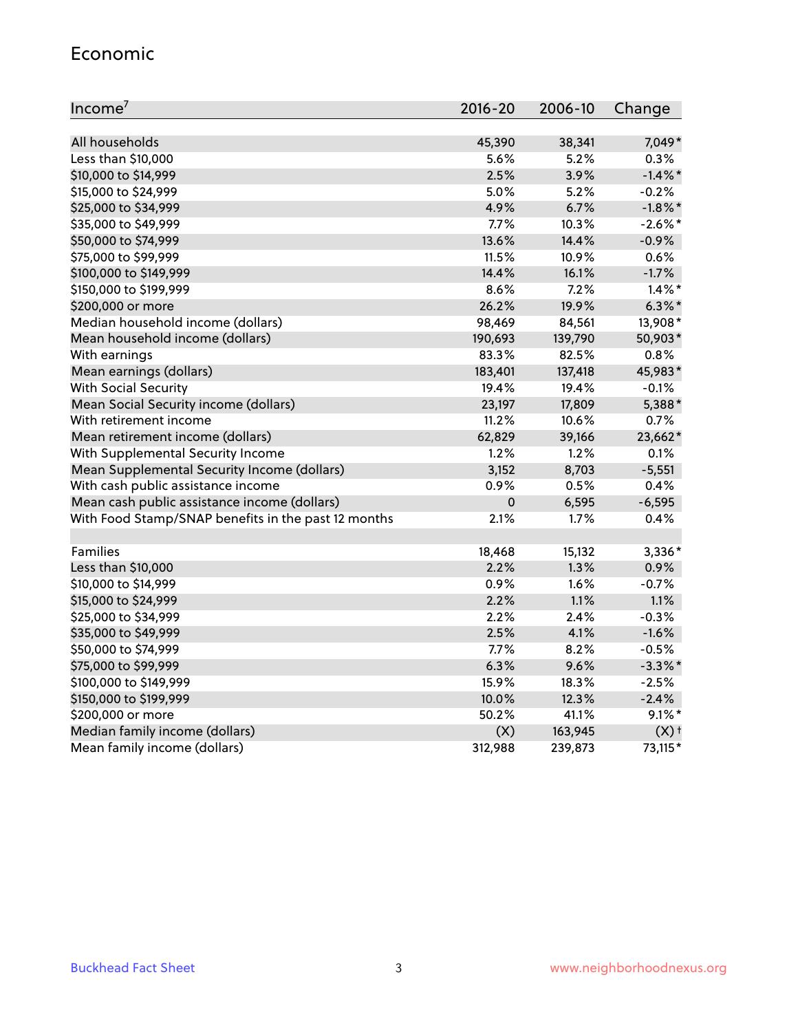#### Economic

| Income <sup>7</sup>                                 | $2016 - 20$ | 2006-10 | Change             |
|-----------------------------------------------------|-------------|---------|--------------------|
|                                                     |             |         |                    |
| All households                                      | 45,390      | 38,341  | 7,049*             |
| Less than \$10,000                                  | 5.6%        | 5.2%    | 0.3%               |
| \$10,000 to \$14,999                                | 2.5%        | 3.9%    | $-1.4\%$ *         |
| \$15,000 to \$24,999                                | 5.0%        | 5.2%    | $-0.2%$            |
| \$25,000 to \$34,999                                | 4.9%        | 6.7%    | $-1.8\%$ *         |
| \$35,000 to \$49,999                                | 7.7%        | 10.3%   | $-2.6%$ *          |
| \$50,000 to \$74,999                                | 13.6%       | 14.4%   | $-0.9%$            |
| \$75,000 to \$99,999                                | 11.5%       | 10.9%   | 0.6%               |
| \$100,000 to \$149,999                              | 14.4%       | 16.1%   | $-1.7%$            |
| \$150,000 to \$199,999                              | 8.6%        | 7.2%    | $1.4\%$ *          |
| \$200,000 or more                                   | 26.2%       | 19.9%   | $6.3\%$ *          |
| Median household income (dollars)                   | 98,469      | 84,561  | 13,908*            |
| Mean household income (dollars)                     | 190,693     | 139,790 | 50,903*            |
| With earnings                                       | 83.3%       | 82.5%   | 0.8%               |
| Mean earnings (dollars)                             | 183,401     | 137,418 | 45,983*            |
| <b>With Social Security</b>                         | 19.4%       | 19.4%   | $-0.1%$            |
| Mean Social Security income (dollars)               | 23,197      | 17,809  | 5,388*             |
| With retirement income                              | 11.2%       | 10.6%   | 0.7%               |
| Mean retirement income (dollars)                    | 62,829      | 39,166  | 23,662*            |
| With Supplemental Security Income                   | 1.2%        | 1.2%    | 0.1%               |
| Mean Supplemental Security Income (dollars)         | 3,152       | 8,703   | $-5,551$           |
| With cash public assistance income                  | 0.9%        | 0.5%    | 0.4%               |
| Mean cash public assistance income (dollars)        | $\pmb{0}$   | 6,595   | $-6,595$           |
| With Food Stamp/SNAP benefits in the past 12 months | 2.1%        | 1.7%    | 0.4%               |
|                                                     |             |         |                    |
| Families                                            | 18,468      | 15,132  | 3,336*             |
| Less than \$10,000                                  | 2.2%        | 1.3%    | 0.9%               |
| \$10,000 to \$14,999                                | 0.9%        | 1.6%    | $-0.7%$            |
| \$15,000 to \$24,999                                | 2.2%        | 1.1%    | 1.1%               |
| \$25,000 to \$34,999                                | 2.2%        | 2.4%    | $-0.3%$            |
| \$35,000 to \$49,999                                | 2.5%        | 4.1%    | $-1.6%$            |
| \$50,000 to \$74,999                                | 7.7%        | 8.2%    | $-0.5%$            |
| \$75,000 to \$99,999                                | 6.3%        | 9.6%    | $-3.3\%$ *         |
| \$100,000 to \$149,999                              | 15.9%       | 18.3%   | $-2.5%$            |
| \$150,000 to \$199,999                              | 10.0%       | 12.3%   | $-2.4%$            |
| \$200,000 or more                                   | 50.2%       | 41.1%   | $9.1\%$ *          |
| Median family income (dollars)                      | (X)         | 163,945 | $(X)$ <sup>+</sup> |
| Mean family income (dollars)                        | 312,988     | 239,873 | 73,115*            |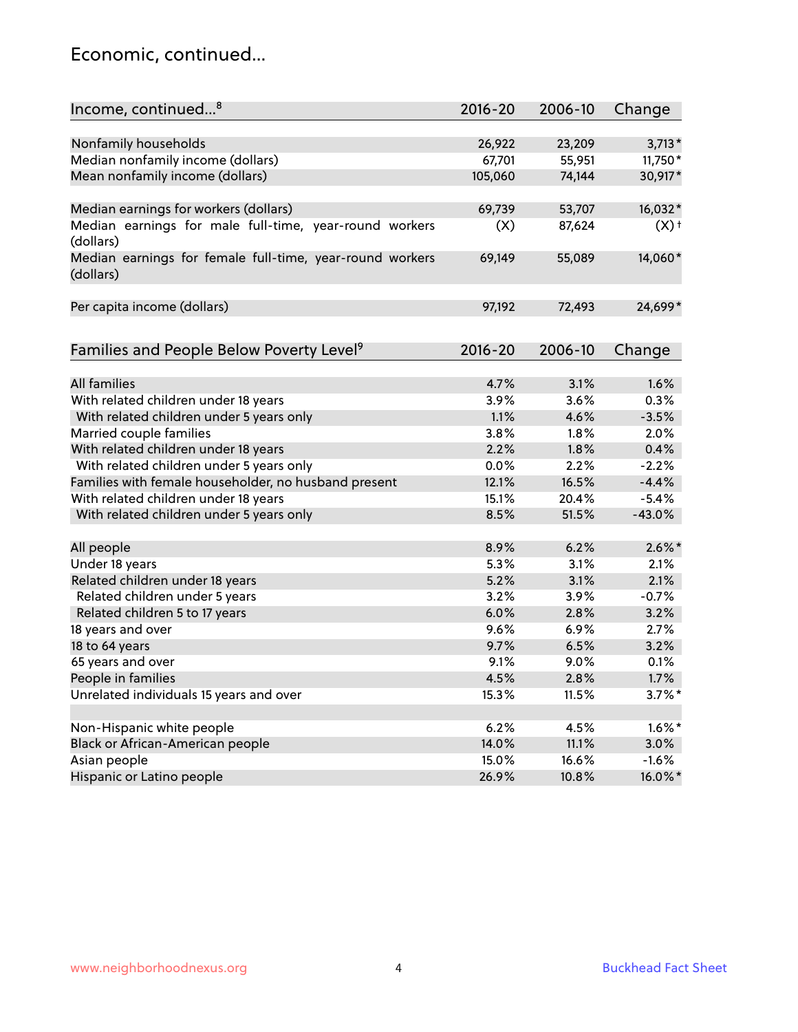### Economic, continued...

| Income, continued <sup>8</sup>                                        | $2016 - 20$ | 2006-10 | Change    |
|-----------------------------------------------------------------------|-------------|---------|-----------|
|                                                                       |             |         |           |
| Nonfamily households                                                  | 26,922      | 23,209  | $3,713*$  |
| Median nonfamily income (dollars)                                     | 67,701      | 55,951  | 11,750*   |
| Mean nonfamily income (dollars)                                       | 105,060     | 74,144  | 30,917*   |
| Median earnings for workers (dollars)                                 | 69,739      | 53,707  | 16,032*   |
| Median earnings for male full-time, year-round workers<br>(dollars)   | (X)         | 87,624  | $(X)$ +   |
| Median earnings for female full-time, year-round workers<br>(dollars) | 69,149      | 55,089  | 14,060*   |
| Per capita income (dollars)                                           | 97,192      | 72,493  | 24,699*   |
| Families and People Below Poverty Level <sup>9</sup>                  | $2016 - 20$ | 2006-10 | Change    |
|                                                                       |             |         |           |
| <b>All families</b>                                                   | 4.7%        | 3.1%    | 1.6%      |
| With related children under 18 years                                  | 3.9%        | 3.6%    | 0.3%      |
| With related children under 5 years only                              | 1.1%        | 4.6%    | $-3.5%$   |
| Married couple families                                               | 3.8%        | 1.8%    | 2.0%      |
| With related children under 18 years                                  | 2.2%        | 1.8%    | 0.4%      |
| With related children under 5 years only                              | 0.0%        | 2.2%    | $-2.2%$   |
| Families with female householder, no husband present                  | 12.1%       | 16.5%   | $-4.4%$   |
| With related children under 18 years                                  | 15.1%       | 20.4%   | $-5.4%$   |
| With related children under 5 years only                              | 8.5%        | 51.5%   | $-43.0%$  |
| All people                                                            | 8.9%        | 6.2%    | $2.6\%$ * |
| Under 18 years                                                        | 5.3%        | 3.1%    | 2.1%      |
| Related children under 18 years                                       | 5.2%        | 3.1%    | 2.1%      |
| Related children under 5 years                                        | 3.2%        | 3.9%    | $-0.7%$   |
| Related children 5 to 17 years                                        | 6.0%        | 2.8%    | 3.2%      |
| 18 years and over                                                     | 9.6%        | 6.9%    | 2.7%      |
| 18 to 64 years                                                        | 9.7%        | 6.5%    | 3.2%      |
| 65 years and over                                                     | 9.1%        | 9.0%    | 0.1%      |
| People in families                                                    | 4.5%        | 2.8%    | 1.7%      |
| Unrelated individuals 15 years and over                               | 15.3%       | 11.5%   | $3.7\%$ * |
|                                                                       |             |         |           |
| Non-Hispanic white people                                             | 6.2%        | 4.5%    | $1.6\%$ * |
| Black or African-American people                                      | 14.0%       | 11.1%   | 3.0%      |
| Asian people                                                          | 15.0%       | 16.6%   | $-1.6%$   |
| Hispanic or Latino people                                             | 26.9%       | 10.8%   | 16.0%*    |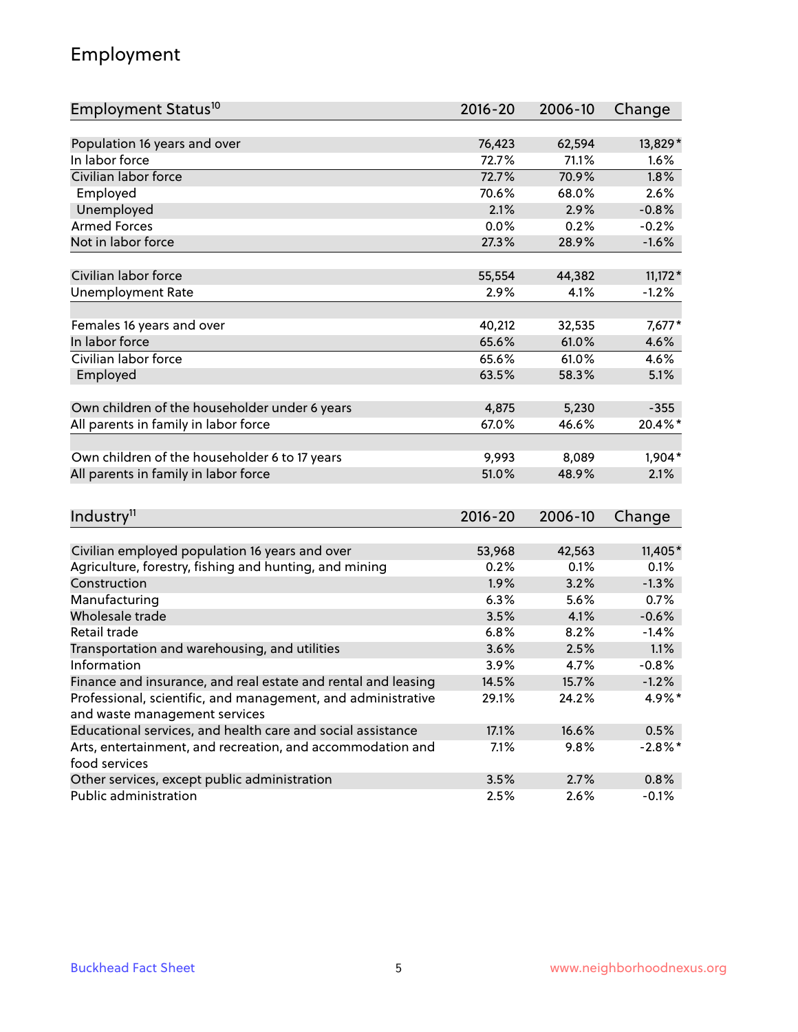## Employment

| Population 16 years and over<br>76,423<br>13,829*<br>62,594<br>In labor force<br>72.7%<br>71.1%<br>1.6%<br>Civilian labor force<br>72.7%<br>70.9%<br>1.8%<br>Employed<br>2.6%<br>70.6%<br>68.0%<br>Unemployed<br>2.1%<br>$-0.8%$<br>2.9%<br><b>Armed Forces</b><br>0.0%<br>$-0.2%$<br>0.2%<br>Not in labor force<br>27.3%<br>28.9%<br>$-1.6%$<br>Civilian labor force<br>$11,172*$<br>55,554<br>44,382<br>2.9%<br><b>Unemployment Rate</b><br>4.1%<br>$-1.2%$<br>Females 16 years and over<br>40,212<br>32,535<br>$7,677*$<br>In labor force<br>65.6%<br>61.0%<br>4.6%<br>Civilian labor force<br>65.6%<br>4.6%<br>61.0%<br>Employed<br>63.5%<br>58.3%<br>5.1%<br>Own children of the householder under 6 years<br>4,875<br>5,230<br>$-355$<br>67.0%<br>46.6%<br>20.4%*<br>All parents in family in labor force<br>Own children of the householder 6 to 17 years<br>1,904*<br>9,993<br>8,089<br>All parents in family in labor force<br>51.0%<br>48.9%<br>2.1%<br>Industry <sup>11</sup><br>$2016 - 20$<br>2006-10<br>Change<br>Civilian employed population 16 years and over<br>42,563<br>$11,405*$<br>53,968<br>Agriculture, forestry, fishing and hunting, and mining<br>0.2%<br>0.1%<br>0.1%<br>Construction<br>1.9%<br>3.2%<br>$-1.3%$<br>Manufacturing<br>6.3%<br>5.6%<br>0.7%<br>Wholesale trade<br>3.5%<br>4.1%<br>$-0.6%$<br>Retail trade<br>6.8%<br>8.2%<br>$-1.4%$<br>Transportation and warehousing, and utilities<br>3.6%<br>2.5%<br>1.1%<br>Information<br>$-0.8%$<br>3.9%<br>4.7%<br>Finance and insurance, and real estate and rental and leasing<br>14.5%<br>15.7%<br>$-1.2%$ | Employment Status <sup>10</sup>                              | $2016 - 20$ | 2006-10 | Change |
|-------------------------------------------------------------------------------------------------------------------------------------------------------------------------------------------------------------------------------------------------------------------------------------------------------------------------------------------------------------------------------------------------------------------------------------------------------------------------------------------------------------------------------------------------------------------------------------------------------------------------------------------------------------------------------------------------------------------------------------------------------------------------------------------------------------------------------------------------------------------------------------------------------------------------------------------------------------------------------------------------------------------------------------------------------------------------------------------------------------------------------------------------------------------------------------------------------------------------------------------------------------------------------------------------------------------------------------------------------------------------------------------------------------------------------------------------------------------------------------------------------------------------------------------------------------------------------------------------|--------------------------------------------------------------|-------------|---------|--------|
|                                                                                                                                                                                                                                                                                                                                                                                                                                                                                                                                                                                                                                                                                                                                                                                                                                                                                                                                                                                                                                                                                                                                                                                                                                                                                                                                                                                                                                                                                                                                                                                                 |                                                              |             |         |        |
|                                                                                                                                                                                                                                                                                                                                                                                                                                                                                                                                                                                                                                                                                                                                                                                                                                                                                                                                                                                                                                                                                                                                                                                                                                                                                                                                                                                                                                                                                                                                                                                                 |                                                              |             |         |        |
|                                                                                                                                                                                                                                                                                                                                                                                                                                                                                                                                                                                                                                                                                                                                                                                                                                                                                                                                                                                                                                                                                                                                                                                                                                                                                                                                                                                                                                                                                                                                                                                                 |                                                              |             |         |        |
|                                                                                                                                                                                                                                                                                                                                                                                                                                                                                                                                                                                                                                                                                                                                                                                                                                                                                                                                                                                                                                                                                                                                                                                                                                                                                                                                                                                                                                                                                                                                                                                                 |                                                              |             |         |        |
|                                                                                                                                                                                                                                                                                                                                                                                                                                                                                                                                                                                                                                                                                                                                                                                                                                                                                                                                                                                                                                                                                                                                                                                                                                                                                                                                                                                                                                                                                                                                                                                                 |                                                              |             |         |        |
|                                                                                                                                                                                                                                                                                                                                                                                                                                                                                                                                                                                                                                                                                                                                                                                                                                                                                                                                                                                                                                                                                                                                                                                                                                                                                                                                                                                                                                                                                                                                                                                                 |                                                              |             |         |        |
|                                                                                                                                                                                                                                                                                                                                                                                                                                                                                                                                                                                                                                                                                                                                                                                                                                                                                                                                                                                                                                                                                                                                                                                                                                                                                                                                                                                                                                                                                                                                                                                                 |                                                              |             |         |        |
|                                                                                                                                                                                                                                                                                                                                                                                                                                                                                                                                                                                                                                                                                                                                                                                                                                                                                                                                                                                                                                                                                                                                                                                                                                                                                                                                                                                                                                                                                                                                                                                                 |                                                              |             |         |        |
|                                                                                                                                                                                                                                                                                                                                                                                                                                                                                                                                                                                                                                                                                                                                                                                                                                                                                                                                                                                                                                                                                                                                                                                                                                                                                                                                                                                                                                                                                                                                                                                                 |                                                              |             |         |        |
|                                                                                                                                                                                                                                                                                                                                                                                                                                                                                                                                                                                                                                                                                                                                                                                                                                                                                                                                                                                                                                                                                                                                                                                                                                                                                                                                                                                                                                                                                                                                                                                                 |                                                              |             |         |        |
|                                                                                                                                                                                                                                                                                                                                                                                                                                                                                                                                                                                                                                                                                                                                                                                                                                                                                                                                                                                                                                                                                                                                                                                                                                                                                                                                                                                                                                                                                                                                                                                                 |                                                              |             |         |        |
|                                                                                                                                                                                                                                                                                                                                                                                                                                                                                                                                                                                                                                                                                                                                                                                                                                                                                                                                                                                                                                                                                                                                                                                                                                                                                                                                                                                                                                                                                                                                                                                                 |                                                              |             |         |        |
|                                                                                                                                                                                                                                                                                                                                                                                                                                                                                                                                                                                                                                                                                                                                                                                                                                                                                                                                                                                                                                                                                                                                                                                                                                                                                                                                                                                                                                                                                                                                                                                                 |                                                              |             |         |        |
|                                                                                                                                                                                                                                                                                                                                                                                                                                                                                                                                                                                                                                                                                                                                                                                                                                                                                                                                                                                                                                                                                                                                                                                                                                                                                                                                                                                                                                                                                                                                                                                                 |                                                              |             |         |        |
|                                                                                                                                                                                                                                                                                                                                                                                                                                                                                                                                                                                                                                                                                                                                                                                                                                                                                                                                                                                                                                                                                                                                                                                                                                                                                                                                                                                                                                                                                                                                                                                                 |                                                              |             |         |        |
|                                                                                                                                                                                                                                                                                                                                                                                                                                                                                                                                                                                                                                                                                                                                                                                                                                                                                                                                                                                                                                                                                                                                                                                                                                                                                                                                                                                                                                                                                                                                                                                                 |                                                              |             |         |        |
|                                                                                                                                                                                                                                                                                                                                                                                                                                                                                                                                                                                                                                                                                                                                                                                                                                                                                                                                                                                                                                                                                                                                                                                                                                                                                                                                                                                                                                                                                                                                                                                                 |                                                              |             |         |        |
|                                                                                                                                                                                                                                                                                                                                                                                                                                                                                                                                                                                                                                                                                                                                                                                                                                                                                                                                                                                                                                                                                                                                                                                                                                                                                                                                                                                                                                                                                                                                                                                                 |                                                              |             |         |        |
|                                                                                                                                                                                                                                                                                                                                                                                                                                                                                                                                                                                                                                                                                                                                                                                                                                                                                                                                                                                                                                                                                                                                                                                                                                                                                                                                                                                                                                                                                                                                                                                                 |                                                              |             |         |        |
|                                                                                                                                                                                                                                                                                                                                                                                                                                                                                                                                                                                                                                                                                                                                                                                                                                                                                                                                                                                                                                                                                                                                                                                                                                                                                                                                                                                                                                                                                                                                                                                                 |                                                              |             |         |        |
|                                                                                                                                                                                                                                                                                                                                                                                                                                                                                                                                                                                                                                                                                                                                                                                                                                                                                                                                                                                                                                                                                                                                                                                                                                                                                                                                                                                                                                                                                                                                                                                                 |                                                              |             |         |        |
|                                                                                                                                                                                                                                                                                                                                                                                                                                                                                                                                                                                                                                                                                                                                                                                                                                                                                                                                                                                                                                                                                                                                                                                                                                                                                                                                                                                                                                                                                                                                                                                                 |                                                              |             |         |        |
|                                                                                                                                                                                                                                                                                                                                                                                                                                                                                                                                                                                                                                                                                                                                                                                                                                                                                                                                                                                                                                                                                                                                                                                                                                                                                                                                                                                                                                                                                                                                                                                                 |                                                              |             |         |        |
|                                                                                                                                                                                                                                                                                                                                                                                                                                                                                                                                                                                                                                                                                                                                                                                                                                                                                                                                                                                                                                                                                                                                                                                                                                                                                                                                                                                                                                                                                                                                                                                                 |                                                              |             |         |        |
|                                                                                                                                                                                                                                                                                                                                                                                                                                                                                                                                                                                                                                                                                                                                                                                                                                                                                                                                                                                                                                                                                                                                                                                                                                                                                                                                                                                                                                                                                                                                                                                                 |                                                              |             |         |        |
|                                                                                                                                                                                                                                                                                                                                                                                                                                                                                                                                                                                                                                                                                                                                                                                                                                                                                                                                                                                                                                                                                                                                                                                                                                                                                                                                                                                                                                                                                                                                                                                                 |                                                              |             |         |        |
|                                                                                                                                                                                                                                                                                                                                                                                                                                                                                                                                                                                                                                                                                                                                                                                                                                                                                                                                                                                                                                                                                                                                                                                                                                                                                                                                                                                                                                                                                                                                                                                                 |                                                              |             |         |        |
|                                                                                                                                                                                                                                                                                                                                                                                                                                                                                                                                                                                                                                                                                                                                                                                                                                                                                                                                                                                                                                                                                                                                                                                                                                                                                                                                                                                                                                                                                                                                                                                                 |                                                              |             |         |        |
|                                                                                                                                                                                                                                                                                                                                                                                                                                                                                                                                                                                                                                                                                                                                                                                                                                                                                                                                                                                                                                                                                                                                                                                                                                                                                                                                                                                                                                                                                                                                                                                                 |                                                              |             |         |        |
|                                                                                                                                                                                                                                                                                                                                                                                                                                                                                                                                                                                                                                                                                                                                                                                                                                                                                                                                                                                                                                                                                                                                                                                                                                                                                                                                                                                                                                                                                                                                                                                                 |                                                              |             |         |        |
|                                                                                                                                                                                                                                                                                                                                                                                                                                                                                                                                                                                                                                                                                                                                                                                                                                                                                                                                                                                                                                                                                                                                                                                                                                                                                                                                                                                                                                                                                                                                                                                                 |                                                              |             |         |        |
|                                                                                                                                                                                                                                                                                                                                                                                                                                                                                                                                                                                                                                                                                                                                                                                                                                                                                                                                                                                                                                                                                                                                                                                                                                                                                                                                                                                                                                                                                                                                                                                                 |                                                              |             |         |        |
|                                                                                                                                                                                                                                                                                                                                                                                                                                                                                                                                                                                                                                                                                                                                                                                                                                                                                                                                                                                                                                                                                                                                                                                                                                                                                                                                                                                                                                                                                                                                                                                                 | Professional, scientific, and management, and administrative | 29.1%       | 24.2%   | 4.9%*  |
| and waste management services                                                                                                                                                                                                                                                                                                                                                                                                                                                                                                                                                                                                                                                                                                                                                                                                                                                                                                                                                                                                                                                                                                                                                                                                                                                                                                                                                                                                                                                                                                                                                                   |                                                              |             |         |        |
| Educational services, and health care and social assistance<br>17.1%<br>16.6%<br>0.5%                                                                                                                                                                                                                                                                                                                                                                                                                                                                                                                                                                                                                                                                                                                                                                                                                                                                                                                                                                                                                                                                                                                                                                                                                                                                                                                                                                                                                                                                                                           |                                                              |             |         |        |
| Arts, entertainment, and recreation, and accommodation and<br>7.1%<br>9.8%<br>$-2.8\%$ *<br>food services                                                                                                                                                                                                                                                                                                                                                                                                                                                                                                                                                                                                                                                                                                                                                                                                                                                                                                                                                                                                                                                                                                                                                                                                                                                                                                                                                                                                                                                                                       |                                                              |             |         |        |
| Other services, except public administration<br>3.5%<br>2.7%<br>0.8%                                                                                                                                                                                                                                                                                                                                                                                                                                                                                                                                                                                                                                                                                                                                                                                                                                                                                                                                                                                                                                                                                                                                                                                                                                                                                                                                                                                                                                                                                                                            |                                                              |             |         |        |
| Public administration<br>2.6%<br>2.5%<br>$-0.1%$                                                                                                                                                                                                                                                                                                                                                                                                                                                                                                                                                                                                                                                                                                                                                                                                                                                                                                                                                                                                                                                                                                                                                                                                                                                                                                                                                                                                                                                                                                                                                |                                                              |             |         |        |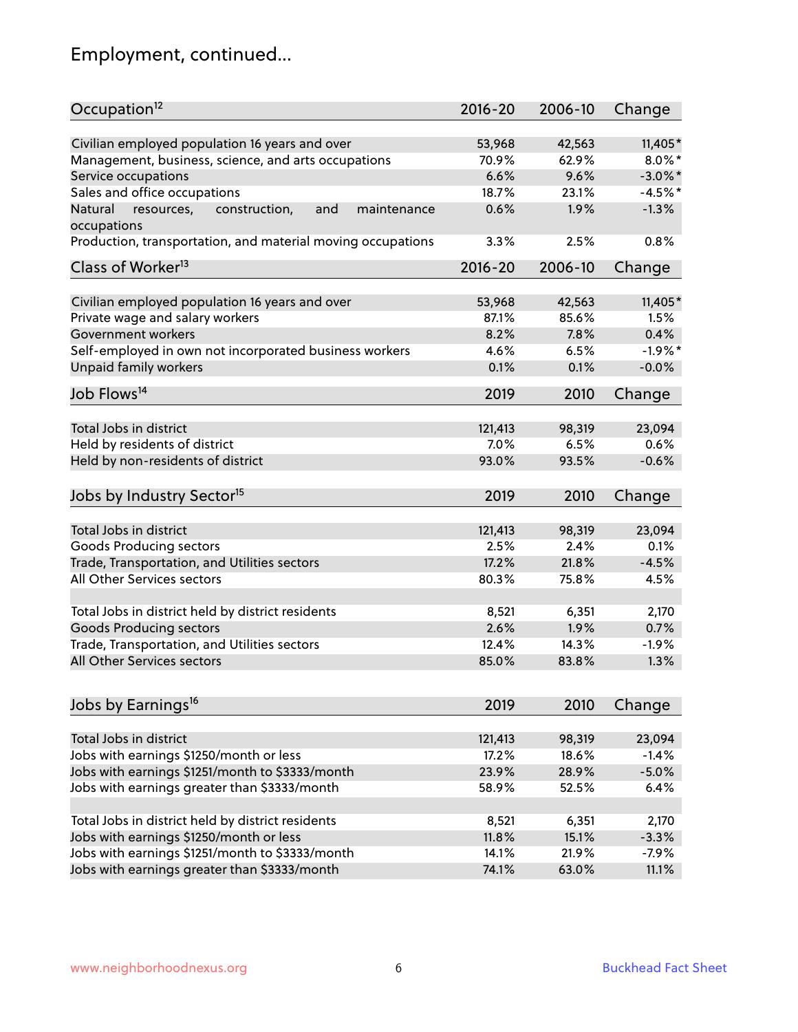# Employment, continued...

| Occupation <sup>12</sup>                                     | $2016 - 20$ | 2006-10 | Change     |
|--------------------------------------------------------------|-------------|---------|------------|
| Civilian employed population 16 years and over               | 53,968      | 42,563  | 11,405*    |
| Management, business, science, and arts occupations          | 70.9%       | 62.9%   | $8.0\%$ *  |
| Service occupations                                          | 6.6%        | 9.6%    | $-3.0\%$ * |
| Sales and office occupations                                 | 18.7%       | 23.1%   | $-4.5%$ *  |
| Natural<br>and<br>resources,<br>construction,<br>maintenance | 0.6%        | 1.9%    | $-1.3%$    |
| occupations                                                  |             |         |            |
| Production, transportation, and material moving occupations  | 3.3%        | 2.5%    | 0.8%       |
| Class of Worker <sup>13</sup>                                | $2016 - 20$ | 2006-10 | Change     |
|                                                              |             |         |            |
| Civilian employed population 16 years and over               | 53,968      | 42,563  | 11,405*    |
| Private wage and salary workers                              | 87.1%       | 85.6%   | 1.5%       |
| Government workers                                           | 8.2%        | 7.8%    | 0.4%       |
| Self-employed in own not incorporated business workers       | 4.6%        | 6.5%    | $-1.9%$ *  |
| Unpaid family workers                                        | 0.1%        | 0.1%    | $-0.0%$    |
| Job Flows <sup>14</sup>                                      | 2019        | 2010    | Change     |
|                                                              |             |         |            |
| Total Jobs in district                                       | 121,413     | 98,319  | 23,094     |
| Held by residents of district                                | 7.0%        | 6.5%    | 0.6%       |
| Held by non-residents of district                            | 93.0%       | 93.5%   | $-0.6%$    |
| Jobs by Industry Sector <sup>15</sup>                        | 2019        | 2010    | Change     |
| Total Jobs in district                                       | 121,413     | 98,319  | 23,094     |
|                                                              |             |         |            |
| Goods Producing sectors                                      | 2.5%        | 2.4%    | 0.1%       |
| Trade, Transportation, and Utilities sectors                 | 17.2%       | 21.8%   | $-4.5%$    |
| All Other Services sectors                                   | 80.3%       | 75.8%   | 4.5%       |
| Total Jobs in district held by district residents            | 8,521       | 6,351   | 2,170      |
| <b>Goods Producing sectors</b>                               | 2.6%        | 1.9%    | 0.7%       |
| Trade, Transportation, and Utilities sectors                 | 12.4%       | 14.3%   | $-1.9%$    |
| All Other Services sectors                                   | 85.0%       | 83.8%   | 1.3%       |
|                                                              |             |         |            |
| Jobs by Earnings <sup>16</sup>                               | 2019        | 2010    | Change     |
| Total Jobs in district                                       | 121,413     |         |            |
|                                                              |             | 98,319  | 23,094     |
| Jobs with earnings \$1250/month or less                      | 17.2%       | 18.6%   | $-1.4%$    |
| Jobs with earnings \$1251/month to \$3333/month              | 23.9%       | 28.9%   | $-5.0%$    |
| Jobs with earnings greater than \$3333/month                 | 58.9%       | 52.5%   | 6.4%       |
| Total Jobs in district held by district residents            | 8,521       | 6,351   | 2,170      |
| Jobs with earnings \$1250/month or less                      | 11.8%       | 15.1%   | $-3.3%$    |
| Jobs with earnings \$1251/month to \$3333/month              | 14.1%       | 21.9%   | $-7.9%$    |
| Jobs with earnings greater than \$3333/month                 | 74.1%       | 63.0%   | 11.1%      |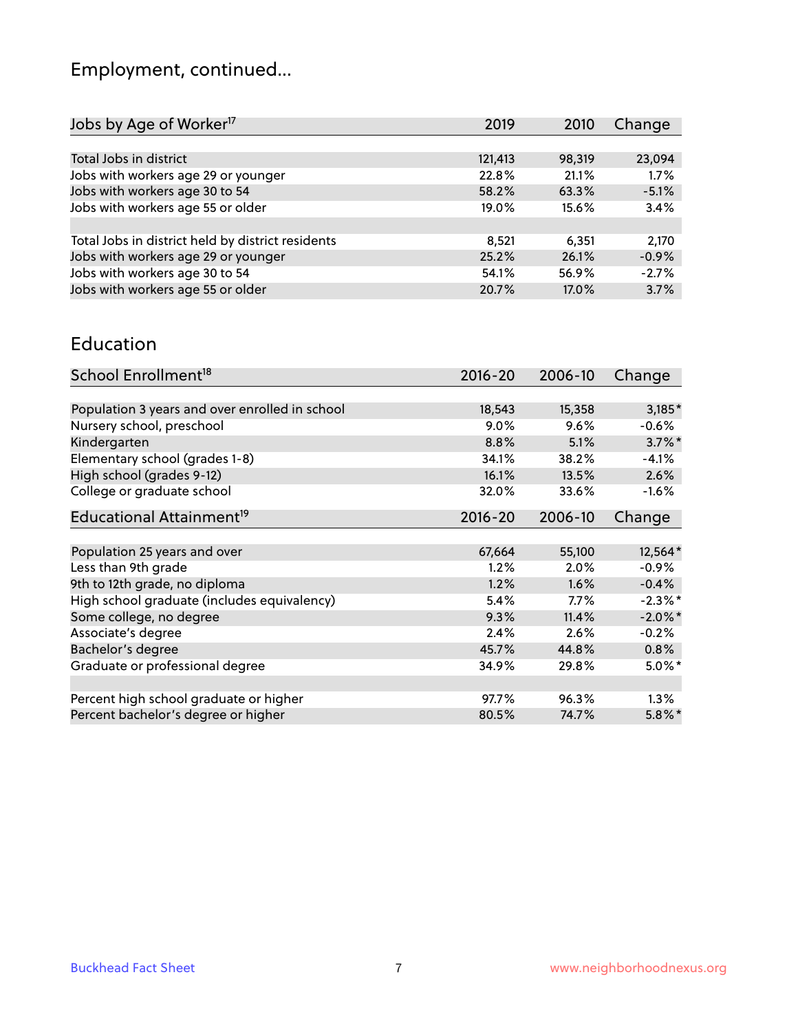# Employment, continued...

| 2019 | 2010                                                                   | Change                            |
|------|------------------------------------------------------------------------|-----------------------------------|
|      |                                                                        |                                   |
|      |                                                                        | 23,094                            |
|      | 21.1%                                                                  | 1.7%                              |
|      |                                                                        | $-5.1%$                           |
|      | 15.6%                                                                  | 3.4%                              |
|      |                                                                        |                                   |
|      | 6,351                                                                  | 2,170                             |
|      |                                                                        | $-0.9%$                           |
|      |                                                                        | $-2.7%$                           |
|      | 17.0%                                                                  | 3.7%                              |
|      | 121,413<br>22.8%<br>58.2%<br>19.0%<br>8,521<br>25.2%<br>54.1%<br>20.7% | 98,319<br>63.3%<br>26.1%<br>56.9% |

#### Education

| School Enrollment <sup>18</sup>                | $2016 - 20$ | 2006-10 | Change     |
|------------------------------------------------|-------------|---------|------------|
|                                                |             |         |            |
| Population 3 years and over enrolled in school | 18,543      | 15,358  | $3,185*$   |
| Nursery school, preschool                      | 9.0%        | 9.6%    | $-0.6%$    |
| Kindergarten                                   | 8.8%        | 5.1%    | $3.7\%$ *  |
| Elementary school (grades 1-8)                 | 34.1%       | 38.2%   | $-4.1%$    |
| High school (grades 9-12)                      | 16.1%       | 13.5%   | 2.6%       |
| College or graduate school                     | 32.0%       | 33.6%   | $-1.6%$    |
| Educational Attainment <sup>19</sup>           | $2016 - 20$ | 2006-10 | Change     |
|                                                |             |         |            |
| Population 25 years and over                   | 67,664      | 55,100  | 12,564*    |
| Less than 9th grade                            | 1.2%        | 2.0%    | $-0.9%$    |
| 9th to 12th grade, no diploma                  | 1.2%        | 1.6%    | $-0.4%$    |
| High school graduate (includes equivalency)    | 5.4%        | $7.7\%$ | $-2.3\%$ * |
| Some college, no degree                        | 9.3%        | 11.4%   | $-2.0\%$ * |
| Associate's degree                             | 2.4%        | 2.6%    | $-0.2%$    |
| Bachelor's degree                              | 45.7%       | 44.8%   | 0.8%       |
| Graduate or professional degree                | 34.9%       | 29.8%   | $5.0\%$ *  |
|                                                |             |         |            |
| Percent high school graduate or higher         | 97.7%       | 96.3%   | $1.3\%$    |
| Percent bachelor's degree or higher            | 80.5%       | 74.7%   | $5.8\%$ *  |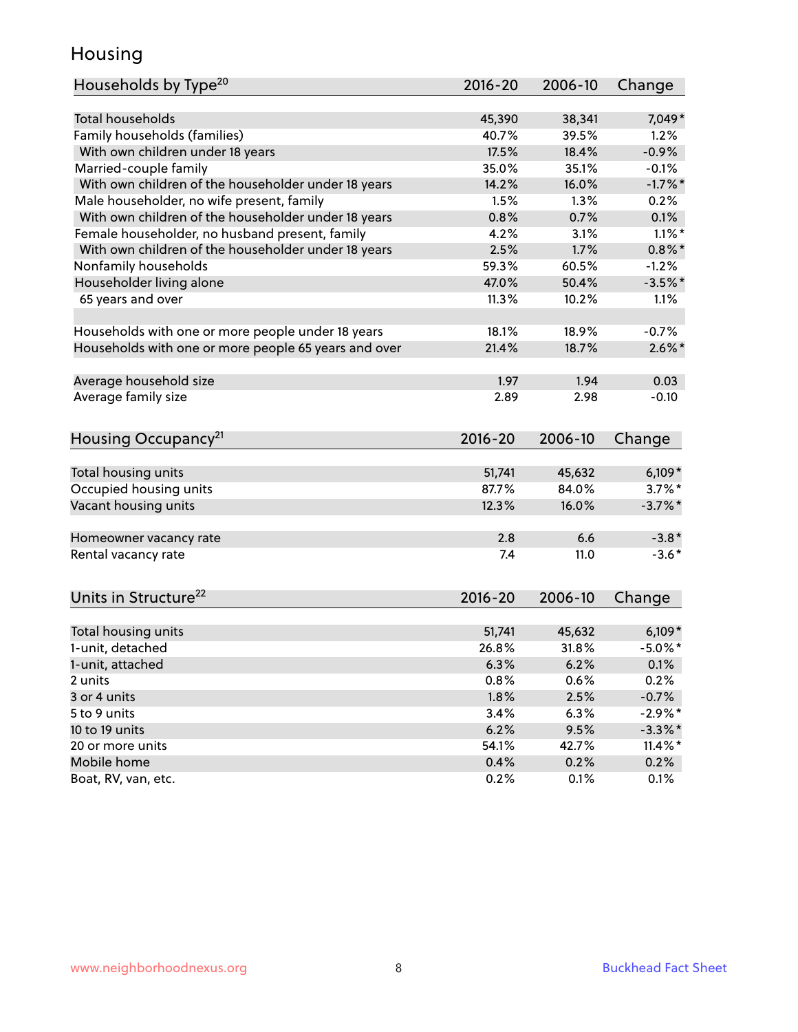### Housing

| Households by Type <sup>20</sup>                     | 2016-20 | 2006-10 | Change     |
|------------------------------------------------------|---------|---------|------------|
|                                                      |         |         |            |
| <b>Total households</b>                              | 45,390  | 38,341  | 7,049*     |
| Family households (families)                         | 40.7%   | 39.5%   | 1.2%       |
| With own children under 18 years                     | 17.5%   | 18.4%   | $-0.9%$    |
| Married-couple family                                | 35.0%   | 35.1%   | $-0.1%$    |
| With own children of the householder under 18 years  | 14.2%   | 16.0%   | $-1.7%$ *  |
| Male householder, no wife present, family            | 1.5%    | 1.3%    | 0.2%       |
| With own children of the householder under 18 years  | 0.8%    | 0.7%    | 0.1%       |
| Female householder, no husband present, family       | 4.2%    | 3.1%    | $1.1\%$ *  |
| With own children of the householder under 18 years  | 2.5%    | 1.7%    | $0.8\%$ *  |
| Nonfamily households                                 | 59.3%   | 60.5%   | $-1.2%$    |
| Householder living alone                             | 47.0%   | 50.4%   | $-3.5%$ *  |
| 65 years and over                                    | 11.3%   | 10.2%   | 1.1%       |
|                                                      |         |         |            |
| Households with one or more people under 18 years    | 18.1%   | 18.9%   | $-0.7%$    |
| Households with one or more people 65 years and over | 21.4%   | 18.7%   | $2.6\%$ *  |
|                                                      |         |         |            |
| Average household size                               | 1.97    | 1.94    | 0.03       |
| Average family size                                  | 2.89    | 2.98    | $-0.10$    |
|                                                      |         |         |            |
| Housing Occupancy <sup>21</sup>                      | 2016-20 | 2006-10 | Change     |
| Total housing units                                  | 51,741  | 45,632  | $6,109*$   |
| Occupied housing units                               | 87.7%   | 84.0%   | $3.7\%$ *  |
| Vacant housing units                                 | 12.3%   | 16.0%   | $-3.7\%$ * |
|                                                      |         |         |            |
| Homeowner vacancy rate                               | 2.8     | 6.6     | $-3.8*$    |
| Rental vacancy rate                                  | 7.4     | 11.0    | $-3.6*$    |
|                                                      |         |         |            |
| Units in Structure <sup>22</sup>                     | 2016-20 | 2006-10 | Change     |
| Total housing units                                  | 51,741  | 45,632  | $6,109*$   |
| 1-unit, detached                                     | 26.8%   | 31.8%   | $-5.0\%$ * |
| 1-unit, attached                                     | 6.3%    | 6.2%    | 0.1%       |
| 2 units                                              | 0.8%    | 0.6%    | 0.2%       |
| 3 or 4 units                                         | 1.8%    | 2.5%    | $-0.7%$    |
|                                                      |         |         | $-2.9%$ *  |
| 5 to 9 units                                         | 3.4%    | 6.3%    |            |
| 10 to 19 units                                       | 6.2%    | 9.5%    | $-3.3\%$ * |
| 20 or more units                                     | 54.1%   | 42.7%   | $11.4\%$ * |
| Mobile home                                          | 0.4%    | 0.2%    | 0.2%       |
| Boat, RV, van, etc.                                  | 0.2%    | 0.1%    | 0.1%       |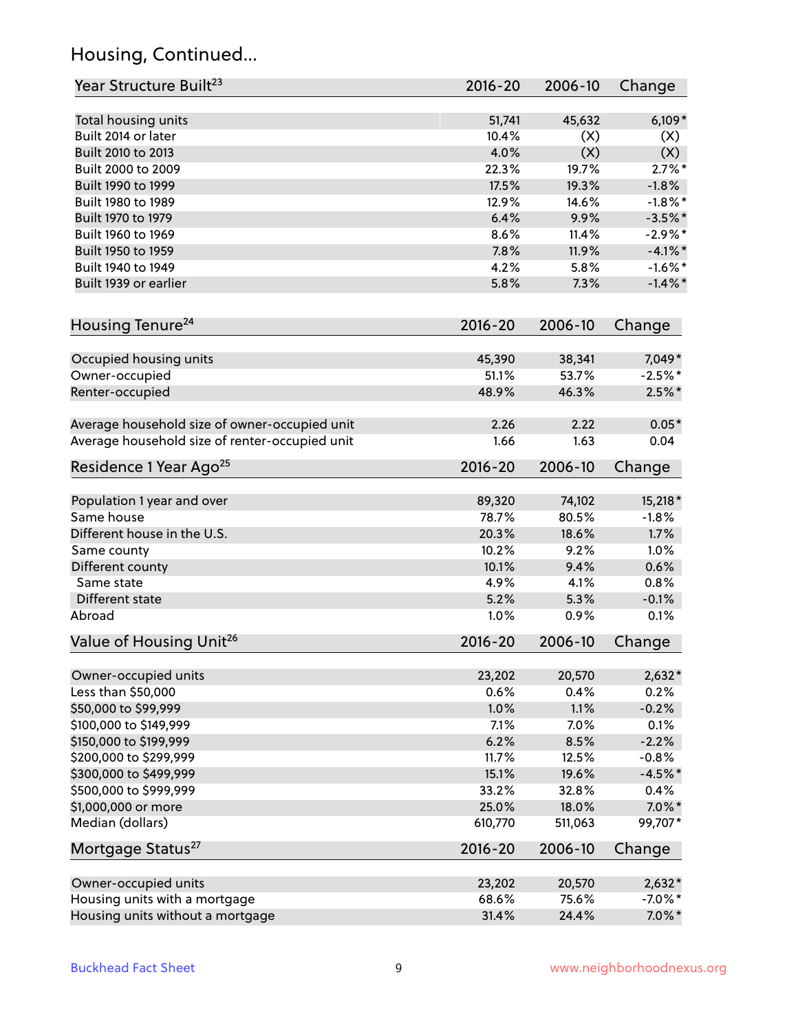## Housing, Continued...

| Year Structure Built <sup>23</sup>             | $2016 - 20$ | 2006-10 | Change     |
|------------------------------------------------|-------------|---------|------------|
| Total housing units                            | 51,741      | 45,632  | $6,109*$   |
| Built 2014 or later                            | 10.4%       | (X)     | (X)        |
| Built 2010 to 2013                             | 4.0%        | (X)     | (X)        |
| Built 2000 to 2009                             | 22.3%       | 19.7%   | $2.7\%$ *  |
| Built 1990 to 1999                             | 17.5%       | 19.3%   | $-1.8%$    |
| Built 1980 to 1989                             | 12.9%       | 14.6%   | $-1.8\%$ * |
| Built 1970 to 1979                             | 6.4%        | 9.9%    | $-3.5%$ *  |
| Built 1960 to 1969                             | 8.6%        | 11.4%   | $-2.9%$ *  |
| Built 1950 to 1959                             | 7.8%        | 11.9%   | $-4.1\%$ * |
| Built 1940 to 1949                             | 4.2%        | 5.8%    | $-1.6\%$ * |
| Built 1939 or earlier                          | 5.8%        | 7.3%    | $-1.4\%$ * |
|                                                |             |         |            |
| Housing Tenure <sup>24</sup>                   | $2016 - 20$ | 2006-10 | Change     |
| Occupied housing units                         | 45,390      | 38,341  | 7,049*     |
| Owner-occupied                                 | 51.1%       | 53.7%   | $-2.5%$ *  |
| Renter-occupied                                | 48.9%       | 46.3%   | $2.5%$ *   |
|                                                |             |         |            |
| Average household size of owner-occupied unit  | 2.26        | 2.22    | $0.05*$    |
| Average household size of renter-occupied unit | 1.66        | 1.63    | 0.04       |
| Residence 1 Year Ago <sup>25</sup>             | $2016 - 20$ | 2006-10 | Change     |
|                                                |             |         |            |
| Population 1 year and over                     | 89,320      | 74,102  | 15,218 *   |
| Same house                                     | 78.7%       | 80.5%   | $-1.8%$    |
| Different house in the U.S.                    | 20.3%       | 18.6%   | 1.7%       |
| Same county                                    | 10.2%       | 9.2%    | 1.0%       |
| Different county                               | 10.1%       | 9.4%    | 0.6%       |
| Same state                                     | 4.9%        | 4.1%    | 0.8%       |
| Different state                                | 5.2%        | 5.3%    | $-0.1%$    |
| Abroad                                         | 1.0%        | 0.9%    | 0.1%       |
| Value of Housing Unit <sup>26</sup>            | 2016-20     | 2006-10 | Change     |
|                                                |             |         |            |
| Owner-occupied units                           | 23,202      | 20,570  | $2,632*$   |
| Less than \$50,000                             | 0.6%        | 0.4%    | 0.2%       |
| \$50,000 to \$99,999                           | 1.0%        | 1.1%    | $-0.2%$    |
| \$100,000 to \$149,999                         | 7.1%        | 7.0%    | 0.1%       |
| \$150,000 to \$199,999                         | 6.2%        | 8.5%    | $-2.2%$    |
| \$200,000 to \$299,999                         | 11.7%       | 12.5%   | $-0.8%$    |
| \$300,000 to \$499,999                         | 15.1%       | 19.6%   | $-4.5%$ *  |
| \$500,000 to \$999,999                         | 33.2%       | 32.8%   | 0.4%       |
| \$1,000,000 or more                            | 25.0%       | 18.0%   | $7.0\%$ *  |
| Median (dollars)                               | 610,770     | 511,063 | 99,707*    |
| Mortgage Status <sup>27</sup>                  | $2016 - 20$ | 2006-10 | Change     |
| Owner-occupied units                           | 23,202      | 20,570  | $2,632*$   |
| Housing units with a mortgage                  | 68.6%       | 75.6%   | $-7.0\%$ * |
| Housing units without a mortgage               | 31.4%       | 24.4%   | $7.0\%$ *  |
|                                                |             |         |            |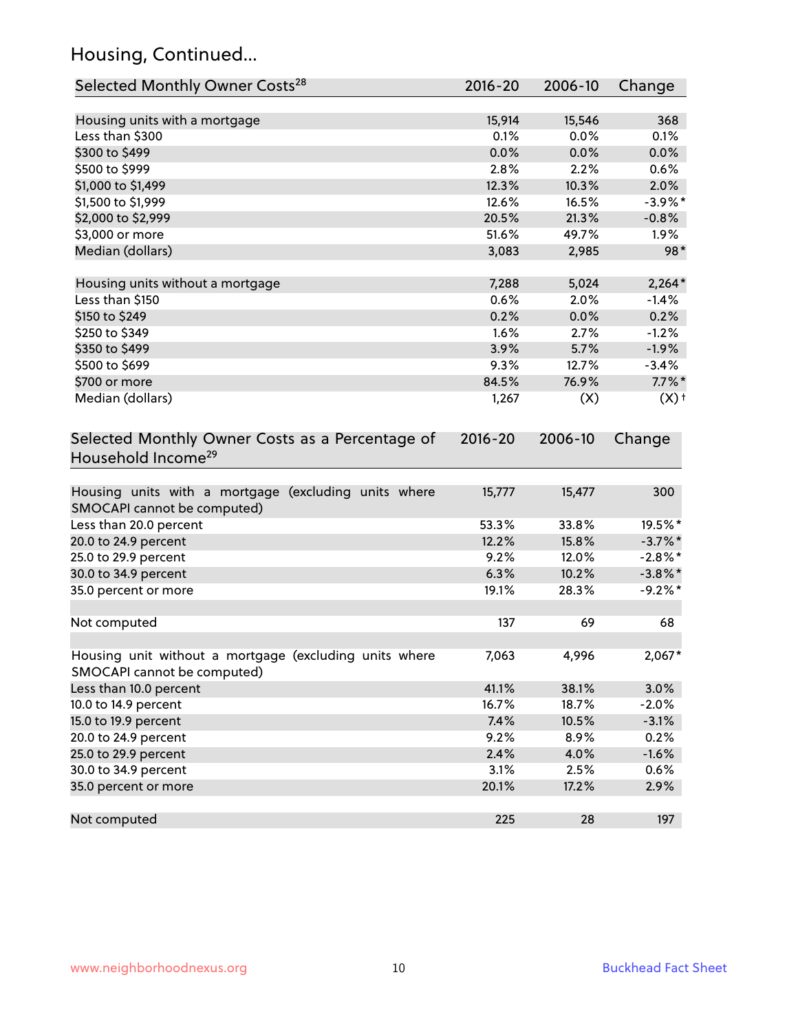## Housing, Continued...

| Selected Monthly Owner Costs <sup>28</sup>                                            | 2016-20 | 2006-10 | Change             |
|---------------------------------------------------------------------------------------|---------|---------|--------------------|
| Housing units with a mortgage                                                         | 15,914  | 15,546  | 368                |
| Less than \$300                                                                       | 0.1%    | 0.0%    | 0.1%               |
| \$300 to \$499                                                                        | 0.0%    | 0.0%    | 0.0%               |
| \$500 to \$999                                                                        | 2.8%    | 2.2%    | 0.6%               |
| \$1,000 to \$1,499                                                                    | 12.3%   | 10.3%   | 2.0%               |
| \$1,500 to \$1,999                                                                    | 12.6%   | 16.5%   | $-3.9\%$ *         |
| \$2,000 to \$2,999                                                                    | 20.5%   | 21.3%   | $-0.8%$            |
| \$3,000 or more                                                                       | 51.6%   | 49.7%   | 1.9%               |
| Median (dollars)                                                                      | 3,083   | 2,985   | 98*                |
| Housing units without a mortgage                                                      | 7,288   | 5,024   | $2,264*$           |
| Less than \$150                                                                       | 0.6%    | 2.0%    | $-1.4%$            |
| \$150 to \$249                                                                        | 0.2%    | 0.0%    | 0.2%               |
| \$250 to \$349                                                                        | 1.6%    | 2.7%    | $-1.2%$            |
| \$350 to \$499                                                                        | 3.9%    | 5.7%    | $-1.9%$            |
| \$500 to \$699                                                                        | 9.3%    | 12.7%   | $-3.4%$            |
| \$700 or more                                                                         | 84.5%   | 76.9%   | $7.7\%$ *          |
| Median (dollars)                                                                      | 1,267   | (X)     | $(X)$ <sup>+</sup> |
| Household Income <sup>29</sup>                                                        |         |         |                    |
| Housing units with a mortgage (excluding units where<br>SMOCAPI cannot be computed)   | 15,777  | 15,477  | 300                |
| Less than 20.0 percent                                                                | 53.3%   | 33.8%   | 19.5%*             |
| 20.0 to 24.9 percent                                                                  | 12.2%   | 15.8%   | $-3.7\%$ *         |
| 25.0 to 29.9 percent                                                                  | 9.2%    | 12.0%   | $-2.8\%$ *         |
| 30.0 to 34.9 percent                                                                  | 6.3%    | 10.2%   | $-3.8\%$ *         |
| 35.0 percent or more                                                                  | 19.1%   | 28.3%   | $-9.2%$ *          |
| Not computed                                                                          | 137     | 69      | 68                 |
| Housing unit without a mortgage (excluding units where<br>SMOCAPI cannot be computed) | 7,063   | 4,996   | 2,067*             |
| Less than 10.0 percent                                                                | 41.1%   | 38.1%   | 3.0%               |
| 10.0 to 14.9 percent                                                                  | 16.7%   | 18.7%   | $-2.0%$            |
| 15.0 to 19.9 percent                                                                  | 7.4%    | 10.5%   | $-3.1%$            |
| 20.0 to 24.9 percent                                                                  | 9.2%    | 8.9%    | 0.2%               |
| 25.0 to 29.9 percent                                                                  | 2.4%    | 4.0%    | $-1.6%$            |
| 30.0 to 34.9 percent                                                                  | 3.1%    | 2.5%    | 0.6%               |
| 35.0 percent or more                                                                  | 20.1%   | 17.2%   | 2.9%               |
| Not computed                                                                          | 225     | 28      | 197                |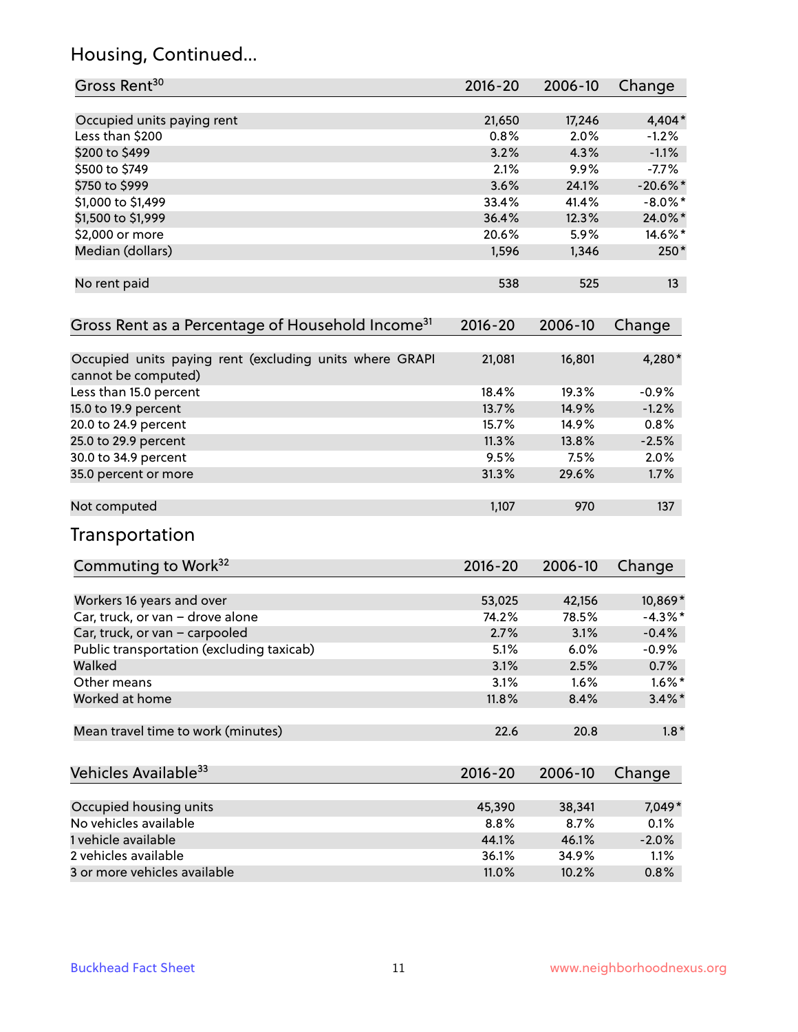## Housing, Continued...

| Gross Rent <sup>30</sup>                                                       | 2016-20     | 2006-10 | Change     |
|--------------------------------------------------------------------------------|-------------|---------|------------|
| Occupied units paying rent                                                     | 21,650      | 17,246  | 4,404*     |
| Less than \$200                                                                | 0.8%        | 2.0%    | $-1.2\%$   |
| \$200 to \$499                                                                 | 3.2%        | 4.3%    | $-1.1%$    |
| \$500 to \$749                                                                 | 2.1%        | 9.9%    | $-7.7%$    |
| \$750 to \$999                                                                 | 3.6%        | 24.1%   | $-20.6%$ * |
| \$1,000 to \$1,499                                                             | 33.4%       | 41.4%   | $-8.0\%$ * |
| \$1,500 to \$1,999                                                             | 36.4%       | 12.3%   | 24.0%*     |
| \$2,000 or more                                                                | 20.6%       | 5.9%    | 14.6%*     |
| Median (dollars)                                                               | 1,596       | 1,346   | $250*$     |
| No rent paid                                                                   | 538         | 525     | 13         |
| Gross Rent as a Percentage of Household Income <sup>31</sup>                   | $2016 - 20$ | 2006-10 | Change     |
| Occupied units paying rent (excluding units where GRAPI<br>cannot be computed) | 21,081      | 16,801  | 4,280*     |
| Less than 15.0 percent                                                         | 18.4%       | 19.3%   | $-0.9%$    |
| 15.0 to 19.9 percent                                                           | 13.7%       | 14.9%   | $-1.2%$    |
| 20.0 to 24.9 percent                                                           | 15.7%       | 14.9%   | 0.8%       |
| 25.0 to 29.9 percent                                                           | 11.3%       | 13.8%   | $-2.5%$    |
| 30.0 to 34.9 percent                                                           | 9.5%        | 7.5%    | 2.0%       |
| 35.0 percent or more                                                           | 31.3%       | 29.6%   | 1.7%       |
| Not computed                                                                   | 1,107       | 970     | 137        |
| Transportation                                                                 |             |         |            |
| Commuting to Work <sup>32</sup>                                                | 2016-20     | 2006-10 | Change     |
| Workers 16 years and over                                                      | 53,025      | 42,156  | 10,869*    |
| Car, truck, or van - drove alone                                               | 74.2%       | 78.5%   | $-4.3%$ *  |
| Car, truck, or van - carpooled                                                 | 2.7%        | 3.1%    | $-0.4%$    |
| Public transportation (excluding taxicab)                                      | 5.1%        | 6.0%    | $-0.9%$    |
| Walked                                                                         | 3.1%        | 2.5%    | 0.7%       |
| Other means                                                                    | 3.1%        | 1.6%    | $1.6\%$ *  |
| Worked at home                                                                 | 11.8%       | 8.4%    | $3.4\%$ *  |
| Mean travel time to work (minutes)                                             | 22.6        | 20.8    | $1.8*$     |
| Vehicles Available <sup>33</sup>                                               | 2016-20     | 2006-10 | Change     |
| Occupied housing units                                                         | 45,390      | 38,341  | 7,049*     |
| No vehicles available                                                          | 8.8%        | 8.7%    | 0.1%       |
| 1 vehicle available                                                            | 44.1%       | 46.1%   | $-2.0%$    |
| 2 vehicles available                                                           | 36.1%       | 34.9%   | 1.1%       |
| 3 or more vehicles available                                                   | 11.0%       | 10.2%   | 0.8%       |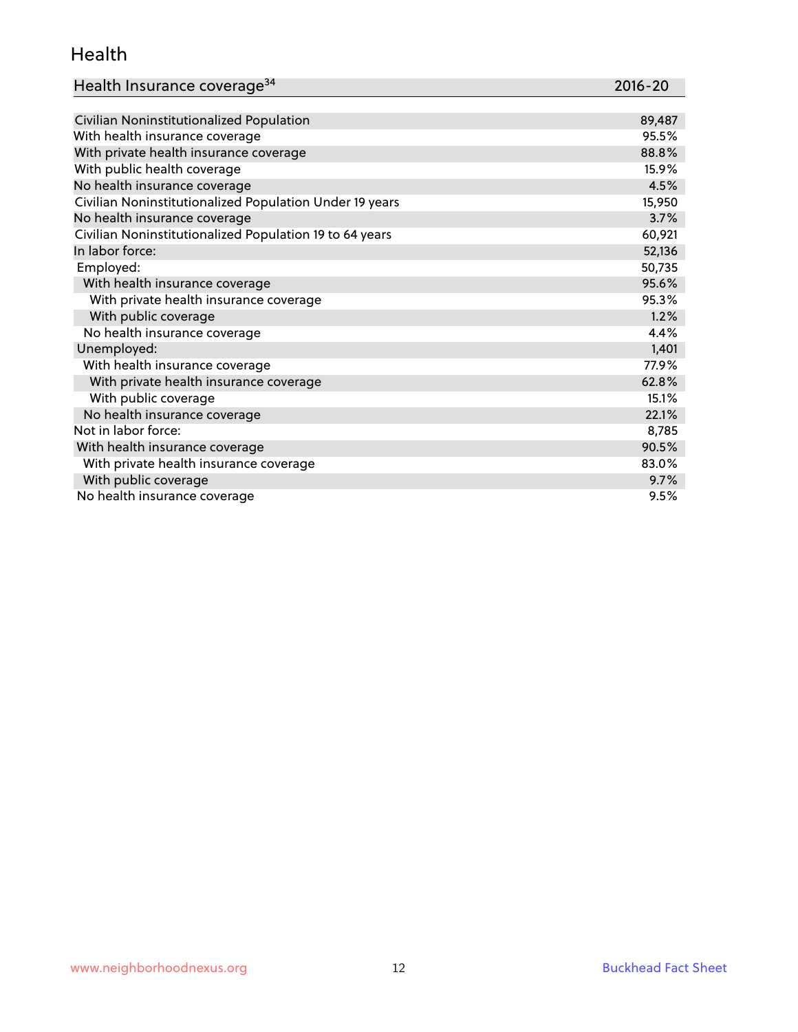#### Health

| Health Insurance coverage <sup>34</sup> | 2016-20 |
|-----------------------------------------|---------|
|-----------------------------------------|---------|

| Civilian Noninstitutionalized Population                | 89,487 |
|---------------------------------------------------------|--------|
| With health insurance coverage                          | 95.5%  |
| With private health insurance coverage                  | 88.8%  |
| With public health coverage                             | 15.9%  |
| No health insurance coverage                            | 4.5%   |
| Civilian Noninstitutionalized Population Under 19 years | 15,950 |
| No health insurance coverage                            | 3.7%   |
| Civilian Noninstitutionalized Population 19 to 64 years | 60,921 |
| In labor force:                                         | 52,136 |
| Employed:                                               | 50,735 |
| With health insurance coverage                          | 95.6%  |
| With private health insurance coverage                  | 95.3%  |
| With public coverage                                    | 1.2%   |
| No health insurance coverage                            | 4.4%   |
| Unemployed:                                             | 1,401  |
| With health insurance coverage                          | 77.9%  |
| With private health insurance coverage                  | 62.8%  |
| With public coverage                                    | 15.1%  |
| No health insurance coverage                            | 22.1%  |
| Not in labor force:                                     | 8,785  |
| With health insurance coverage                          | 90.5%  |
| With private health insurance coverage                  | 83.0%  |
| With public coverage                                    | 9.7%   |
| No health insurance coverage                            | 9.5%   |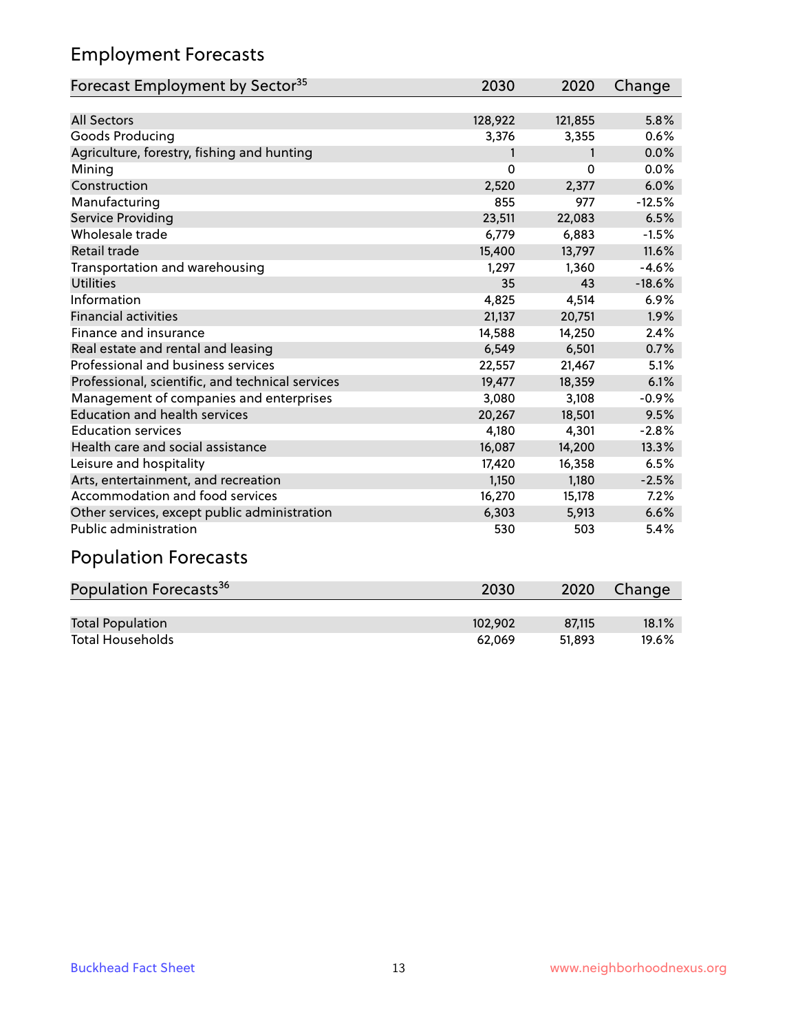### Employment Forecasts

| Forecast Employment by Sector <sup>35</sup>      | 2030     | 2020     | Change   |
|--------------------------------------------------|----------|----------|----------|
|                                                  |          |          |          |
| <b>All Sectors</b>                               | 128,922  | 121,855  | 5.8%     |
| Goods Producing                                  | 3,376    | 3,355    | 0.6%     |
| Agriculture, forestry, fishing and hunting       | 1        | 1        | 0.0%     |
| Mining                                           | $\Omega$ | $\Omega$ | 0.0%     |
| Construction                                     | 2,520    | 2,377    | 6.0%     |
| Manufacturing                                    | 855      | 977      | $-12.5%$ |
| <b>Service Providing</b>                         | 23,511   | 22,083   | 6.5%     |
| Wholesale trade                                  | 6,779    | 6,883    | $-1.5%$  |
| <b>Retail trade</b>                              | 15,400   | 13,797   | 11.6%    |
| Transportation and warehousing                   | 1,297    | 1,360    | $-4.6%$  |
| <b>Utilities</b>                                 | 35       | 43       | $-18.6%$ |
| Information                                      | 4,825    | 4,514    | 6.9%     |
| <b>Financial activities</b>                      | 21,137   | 20,751   | 1.9%     |
| Finance and insurance                            | 14,588   | 14,250   | 2.4%     |
| Real estate and rental and leasing               | 6,549    | 6,501    | 0.7%     |
| Professional and business services               | 22,557   | 21,467   | 5.1%     |
| Professional, scientific, and technical services | 19,477   | 18,359   | 6.1%     |
| Management of companies and enterprises          | 3,080    | 3,108    | $-0.9%$  |
| <b>Education and health services</b>             | 20,267   | 18,501   | 9.5%     |
| <b>Education services</b>                        | 4,180    | 4,301    | $-2.8%$  |
| Health care and social assistance                | 16,087   | 14,200   | 13.3%    |
| Leisure and hospitality                          | 17,420   | 16,358   | 6.5%     |
| Arts, entertainment, and recreation              | 1,150    | 1,180    | $-2.5%$  |
| Accommodation and food services                  | 16,270   | 15,178   | 7.2%     |
| Other services, except public administration     | 6,303    | 5,913    | 6.6%     |
| Public administration                            | 530      | 503      | 5.4%     |
| <b>Population Forecasts</b>                      |          |          |          |

# Population Forecasts<sup>36</sup> 2030 2020 Change Total Population 102,902 87,115 18.1%<br>
Total Households 102,902 87,115 18.1% Total Households